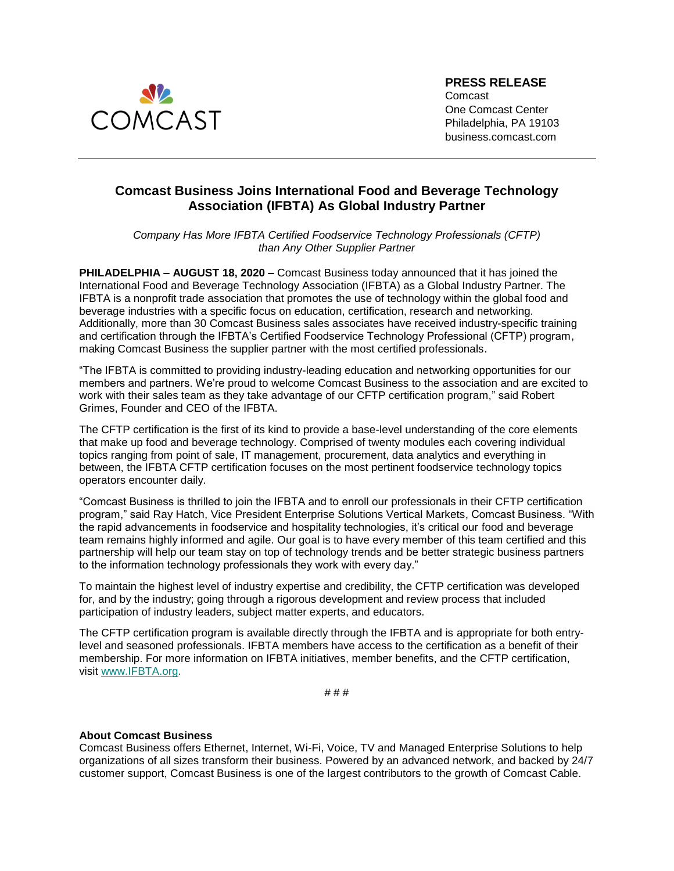

**PRESS RELEASE** Comcast One Comcast Center Philadelphia, PA 19103 business.comcast.com

## **Comcast Business Joins International Food and Beverage Technology Association (IFBTA) As Global Industry Partner**

*Company Has More IFBTA Certified Foodservice Technology Professionals (CFTP) than Any Other Supplier Partner*

**PHILADELPHIA – AUGUST 18, 2020 –** Comcast Business today announced that it has joined the International Food and Beverage Technology Association (IFBTA) as a Global Industry Partner. The IFBTA is a nonprofit trade association that promotes the use of technology within the global food and beverage industries with a specific focus on education, certification, research and networking. Additionally, more than 30 Comcast Business sales associates have received industry-specific training and certification through the IFBTA's Certified Foodservice Technology Professional (CFTP) program, making Comcast Business the supplier partner with the most certified professionals.

"The IFBTA is committed to providing industry-leading education and networking opportunities for our members and partners. We're proud to welcome Comcast Business to the association and are excited to work with their sales team as they take advantage of our CFTP certification program," said Robert Grimes, Founder and CEO of the IFBTA.

The CFTP certification is the first of its kind to provide a base-level understanding of the core elements that make up food and beverage technology. Comprised of twenty modules each covering individual topics ranging from point of sale, IT management, procurement, data analytics and everything in between, the IFBTA CFTP certification focuses on the most pertinent foodservice technology topics operators encounter daily.

"Comcast Business is thrilled to join the IFBTA and to enroll our professionals in their CFTP certification program," said Ray Hatch, Vice President Enterprise Solutions Vertical Markets, Comcast Business. "With the rapid advancements in foodservice and hospitality technologies, it's critical our food and beverage team remains highly informed and agile. Our goal is to have every member of this team certified and this partnership will help our team stay on top of technology trends and be better strategic business partners to the information technology professionals they work with every day."

To maintain the highest level of industry expertise and credibility, the CFTP certification was developed for, and by the industry; going through a rigorous development and review process that included participation of industry leaders, subject matter experts, and educators.

The CFTP certification program is available directly through the IFBTA and is appropriate for both entrylevel and seasoned professionals. IFBTA members have access to the certification as a benefit of their membership. For more information on IFBTA initiatives, member benefits, and the CFTP certification, visit [www.IFBTA.org.](https://c212.net/c/link/?t=0&l=en&o=2356834-1&h=286489529&u=http%3A%2F%2Fwww.ifbta.org%2F&a=www.IFBTA.org)

# # #

## **About Comcast Business**

Comcast Business offers Ethernet, Internet, Wi-Fi, Voice, TV and Managed Enterprise Solutions to help organizations of all sizes transform their business. Powered by an advanced network, and backed by 24/7 customer support, Comcast Business is one of the largest contributors to the growth of Comcast Cable.